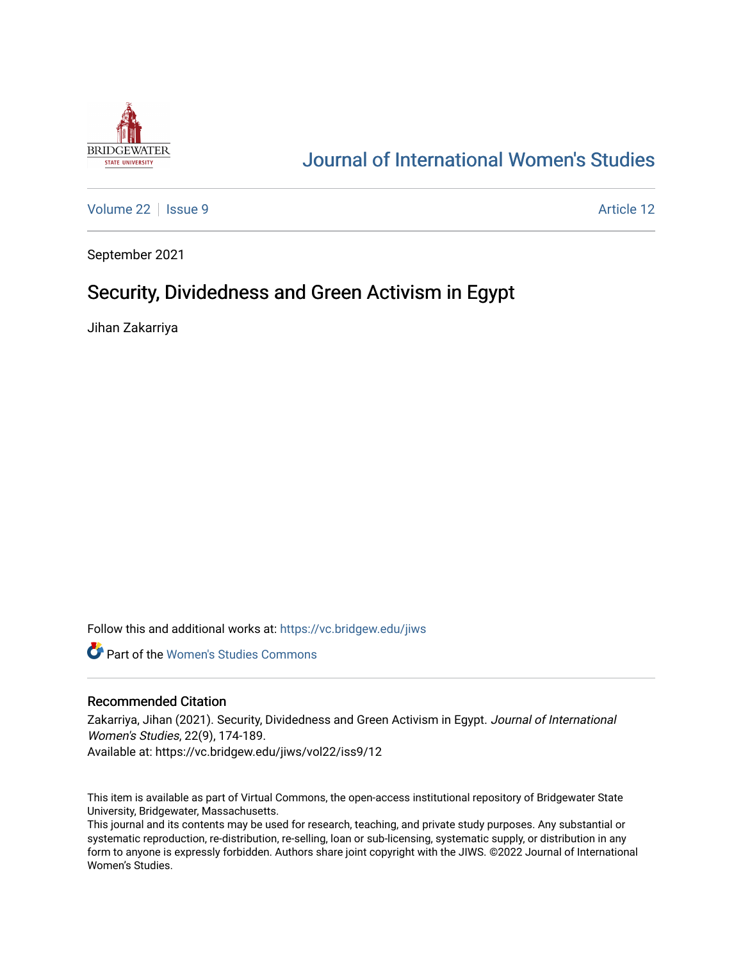

# [Journal of International Women's Studies](https://vc.bridgew.edu/jiws)

[Volume 22](https://vc.bridgew.edu/jiws/vol22) | [Issue 9](https://vc.bridgew.edu/jiws/vol22/iss9) Article 12

September 2021

# Security, Dividedness and Green Activism in Egypt

Jihan Zakarriya

Follow this and additional works at: [https://vc.bridgew.edu/jiws](https://vc.bridgew.edu/jiws?utm_source=vc.bridgew.edu%2Fjiws%2Fvol22%2Fiss9%2F12&utm_medium=PDF&utm_campaign=PDFCoverPages)

**C** Part of the Women's Studies Commons

#### Recommended Citation

Zakarriya, Jihan (2021). Security, Dividedness and Green Activism in Egypt. Journal of International Women's Studies, 22(9), 174-189. Available at: https://vc.bridgew.edu/jiws/vol22/iss9/12

This item is available as part of Virtual Commons, the open-access institutional repository of Bridgewater State University, Bridgewater, Massachusetts.

This journal and its contents may be used for research, teaching, and private study purposes. Any substantial or systematic reproduction, re-distribution, re-selling, loan or sub-licensing, systematic supply, or distribution in any form to anyone is expressly forbidden. Authors share joint copyright with the JIWS. ©2022 Journal of International Women's Studies.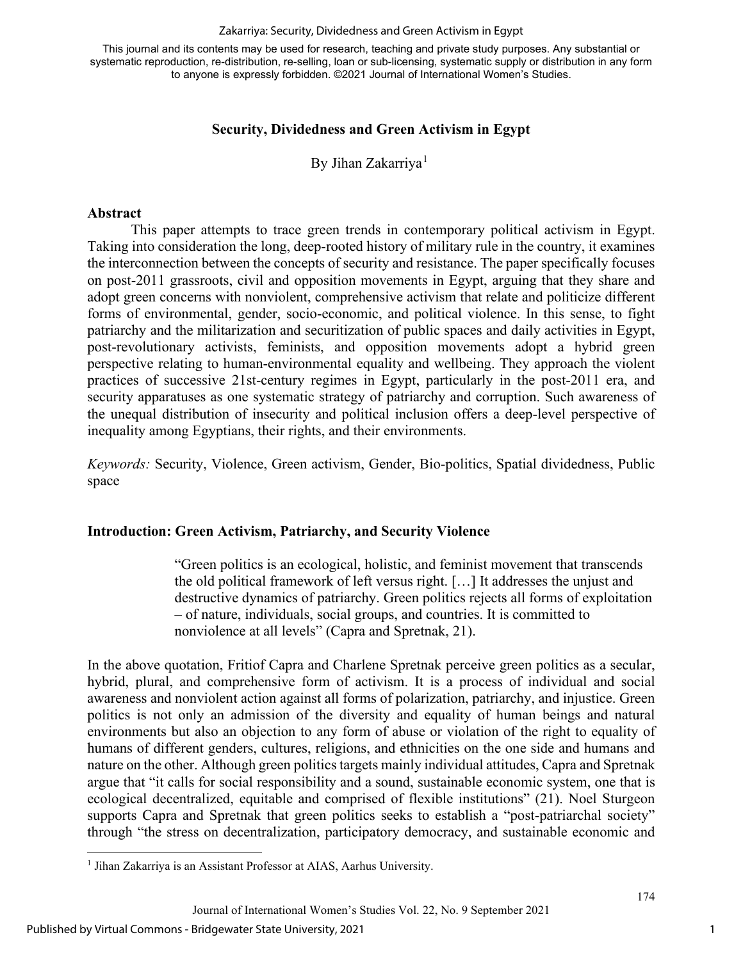#### Zakarriya: Security, Dividedness and Green Activism in Egypt

This journal and its contents may be used for research, teaching and private study purposes. Any substantial or systematic reproduction, re-distribution, re-selling, loan or sub-licensing, systematic supply or distribution in any form to anyone is expressly forbidden. ©2021 Journal of International Women's Studies.

## **Security, Dividedness and Green Activism in Egypt**

By Jihan Zakarriya<sup>[1](#page-1-0)</sup>

### **Abstract**

This paper attempts to trace green trends in contemporary political activism in Egypt. Taking into consideration the long, deep-rooted history of military rule in the country, it examines the interconnection between the concepts of security and resistance. The paper specifically focuses on post-2011 grassroots, civil and opposition movements in Egypt, arguing that they share and adopt green concerns with nonviolent, comprehensive activism that relate and politicize different forms of environmental, gender, socio-economic, and political violence. In this sense, to fight patriarchy and the militarization and securitization of public spaces and daily activities in Egypt, post-revolutionary activists, feminists, and opposition movements adopt a hybrid green perspective relating to human-environmental equality and wellbeing. They approach the violent practices of successive 21st-century regimes in Egypt, particularly in the post-2011 era, and security apparatuses as one systematic strategy of patriarchy and corruption. Such awareness of the unequal distribution of insecurity and political inclusion offers a deep-level perspective of inequality among Egyptians, their rights, and their environments.

*Keywords:* Security, Violence, Green activism, Gender, Bio-politics, Spatial dividedness, Public space

### **Introduction: Green Activism, Patriarchy, and Security Violence**

"Green politics is an ecological, holistic, and feminist movement that transcends the old political framework of left versus right. […] It addresses the unjust and destructive dynamics of patriarchy. Green politics rejects all forms of exploitation – of nature, individuals, social groups, and countries. It is committed to nonviolence at all levels" (Capra and Spretnak, 21).

In the above quotation, Fritiof Capra and Charlene Spretnak perceive green politics as a secular, hybrid, plural, and comprehensive form of activism. It is a process of individual and social awareness and nonviolent action against all forms of polarization, patriarchy, and injustice. Green politics is not only an admission of the diversity and equality of human beings and natural environments but also an objection to any form of abuse or violation of the right to equality of humans of different genders, cultures, religions, and ethnicities on the one side and humans and nature on the other. Although green politics targets mainly individual attitudes, Capra and Spretnak argue that "it calls for social responsibility and a sound, sustainable economic system, one that is ecological decentralized, equitable and comprised of flexible institutions" (21). Noel Sturgeon supports Capra and Spretnak that green politics seeks to establish a "post-patriarchal society" through "the stress on decentralization, participatory democracy, and sustainable economic and

<span id="page-1-0"></span><sup>&</sup>lt;sup>1</sup> Jihan Zakarriya is an Assistant Professor at AIAS, Aarhus University.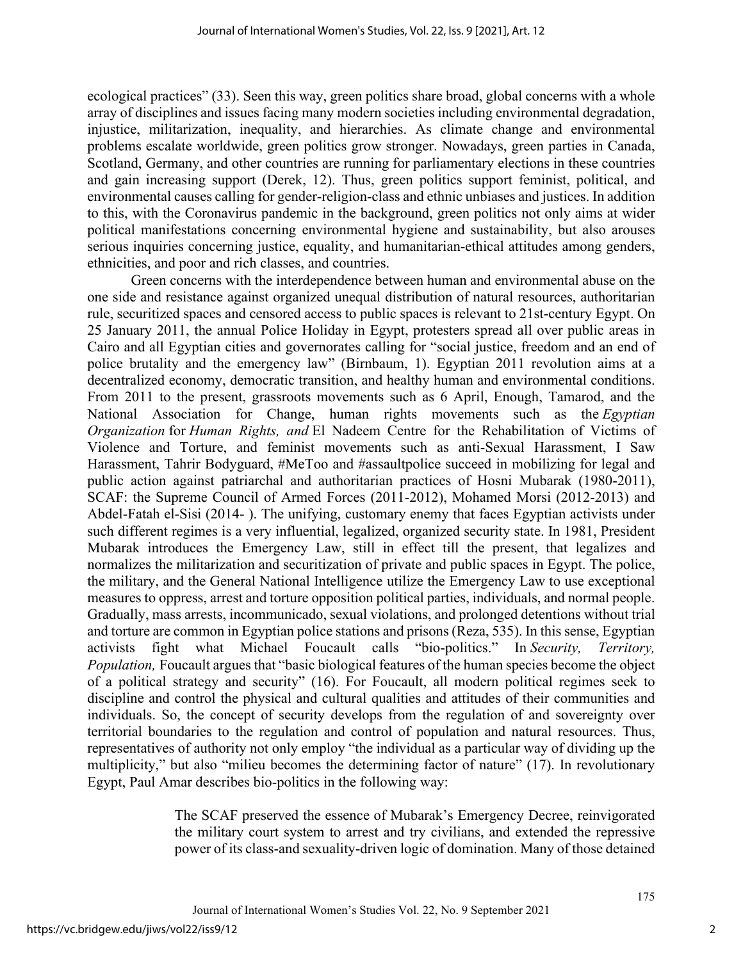ecological practices" (33). Seen this way, green politics share broad, global concerns with a whole array of disciplines and issues facing many modern societies including environmental degradation, injustice, militarization, inequality, and hierarchies. As climate change and environmental problems escalate worldwide, green politics grow stronger. Nowadays, green parties in Canada, Scotland, Germany, and other countries are running for parliamentary elections in these countries and gain increasing support (Derek, 12). Thus, green politics support feminist, political, and environmental causes calling for gender-religion-class and ethnic unbiases and justices. In addition to this, with the Coronavirus pandemic in the background, green politics not only aims at wider political manifestations concerning environmental hygiene and sustainability, but also arouses serious inquiries concerning justice, equality, and humanitarian-ethical attitudes among genders, ethnicities, and poor and rich classes, and countries.

Green concerns with the interdependence between human and environmental abuse on the one side and resistance against organized unequal distribution of natural resources, authoritarian rule, securitized spaces and censored access to public spaces is relevant to 21st-century Egypt. On 25 January 2011, the annual Police Holiday in Egypt, protesters spread all over public areas in Cairo and all Egyptian cities and governorates calling for "social justice, freedom and an end of police brutality and the emergency law" (Birnbaum, 1). Egyptian 2011 revolution aims at a decentralized economy, democratic transition, and healthy human and environmental conditions. From 2011 to the present, grassroots movements such as 6 April, Enough, Tamarod, and the National Association for Change, human rights movements such as the *Egyptian Organization* for *Human Rights, and* El Nadeem Centre for the Rehabilitation of Victims of Violence and Torture, and feminist movements such as anti-Sexual Harassment, I Saw Harassment, Tahrir Bodyguard, #MeToo and #assaultpolice succeed in mobilizing for legal and public action against patriarchal and authoritarian practices of Hosni Mubarak (1980-2011), SCAF: the Supreme Council of Armed Forces (2011-2012), Mohamed Morsi (2012-2013) and Abdel-Fatah el-Sisi (2014- ). The unifying, customary enemy that faces Egyptian activists under such different regimes is a very influential, legalized, organized security state. In 1981, President Mubarak introduces the Emergency Law, still in effect till the present, that legalizes and normalizes the militarization and securitization of private and public spaces in Egypt. The police, the military, and the General National Intelligence utilize the Emergency Law to use exceptional measures to oppress, arrest and torture opposition political parties, individuals, and normal people. Gradually, mass arrests, incommunicado, sexual violations, and prolonged detentions without trial and torture are common in Egyptian police stations and prisons (Reza, 535). In this sense, Egyptian activists fight what Michael Foucault calls "bio-politics." In *Security, Territory, Population*, Foucault argues that "basic biological features of the human species become the object of a political strategy and security" (16). For Foucault, all modern political regimes seek to discipline and control the physical and cultural qualities and attitudes of their communities and individuals. So, the concept of security develops from the regulation of and sovereignty over territorial boundaries to the regulation and control of population and natural resources. Thus, representatives of authority not only employ "the individual as a particular way of dividing up the multiplicity," but also "milieu becomes the determining factor of nature" (17). In revolutionary Egypt, Paul Amar describes bio-politics in the following way:

> The SCAF preserved the essence of Mubarak's Emergency Decree, reinvigorated the military court system to arrest and try civilians, and extended the repressive power of its class-and sexuality-driven logic of domination. Many of those detained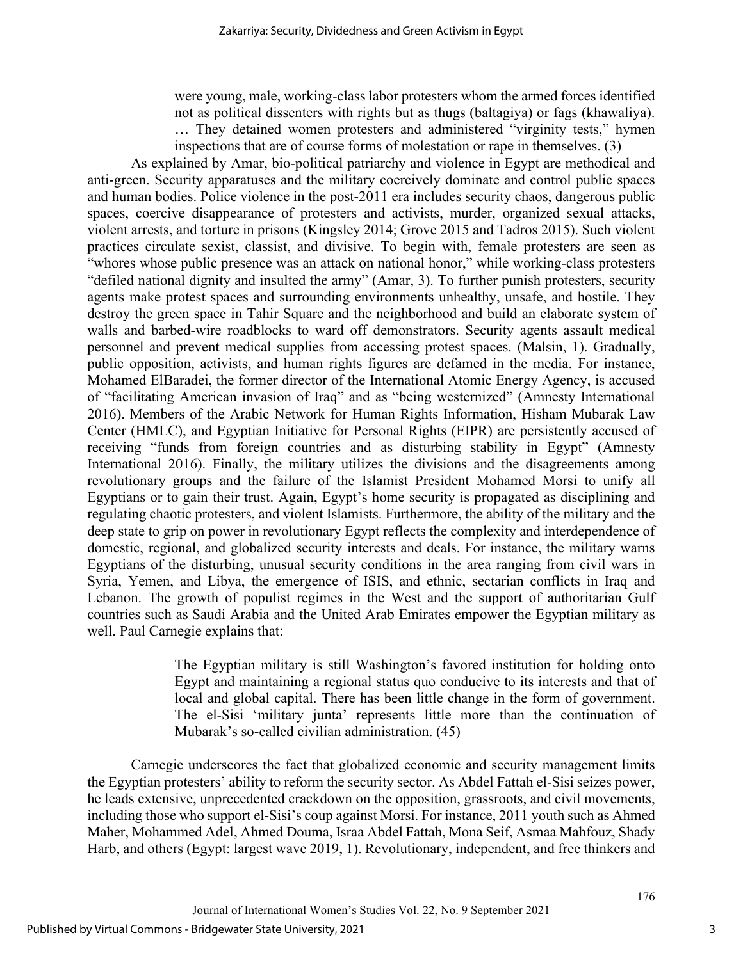were young, male, working-class labor protesters whom the armed forces identified not as political dissenters with rights but as thugs (baltagiya) or fags (khawaliya). … They detained women protesters and administered "virginity tests," hymen inspections that are of course forms of molestation or rape in themselves. (3)

As explained by Amar, bio-political patriarchy and violence in Egypt are methodical and anti-green. Security apparatuses and the military coercively dominate and control public spaces and human bodies. Police violence in the post-2011 era includes security chaos, dangerous public spaces, coercive disappearance of protesters and activists, murder, organized sexual attacks, violent arrests, and torture in prisons (Kingsley 2014; Grove 2015 and Tadros 2015). Such violent practices circulate sexist, classist, and divisive. To begin with, female protesters are seen as "whores whose public presence was an attack on national honor," while working-class protesters "defiled national dignity and insulted the army" (Amar, 3). To further punish protesters, security agents make protest spaces and surrounding environments unhealthy, unsafe, and hostile. They destroy the green space in Tahir Square and the neighborhood and build an elaborate system of walls and barbed-wire roadblocks to ward off demonstrators. Security agents assault medical personnel and prevent medical supplies from accessing protest spaces. (Malsin, 1). Gradually, public opposition, activists, and human rights figures are defamed in the media. For instance, Mohamed ElBaradei, the former director of the International Atomic Energy Agency, is accused of "facilitating American invasion of Iraq" and as "being westernized" (Amnesty International 2016). Members of the Arabic Network for Human Rights Information, Hisham Mubarak Law Center (HMLC), and Egyptian Initiative for Personal Rights (EIPR) are persistently accused of receiving "funds from foreign countries and as disturbing stability in Egypt" (Amnesty International 2016). Finally, the military utilizes the divisions and the disagreements among revolutionary groups and the failure of the Islamist President Mohamed Morsi to unify all Egyptians or to gain their trust. Again, Egypt's home security is propagated as disciplining and regulating chaotic protesters, and violent Islamists. Furthermore, the ability of the military and the deep state to grip on power in revolutionary Egypt reflects the complexity and interdependence of domestic, regional, and globalized security interests and deals. For instance, the military warns Egyptians of the disturbing, unusual security conditions in the area ranging from civil wars in Syria, Yemen, and Libya, the emergence of ISIS, and ethnic, sectarian conflicts in Iraq and Lebanon. The growth of populist regimes in the West and the support of authoritarian Gulf countries such as Saudi Arabia and the United Arab Emirates empower the Egyptian military as well. Paul Carnegie explains that:

> The Egyptian military is still Washington's favored institution for holding onto Egypt and maintaining a regional status quo conducive to its interests and that of local and global capital. There has been little change in the form of government. The el-Sisi 'military junta' represents little more than the continuation of Mubarak's so-called civilian administration. (45)

Carnegie underscores the fact that globalized economic and security management limits the Egyptian protesters' ability to reform the security sector. As Abdel Fattah el-Sisi seizes power, he leads extensive, unprecedented crackdown on the opposition, grassroots, and civil movements, including those who support el-Sisi's coup against Morsi. For instance, 2011 youth such as Ahmed Maher, Mohammed Adel, Ahmed Douma, Israa Abdel Fattah, Mona Seif, Asmaa Mahfouz, Shady Harb, and others (Egypt: largest wave 2019, 1). Revolutionary, independent, and free thinkers and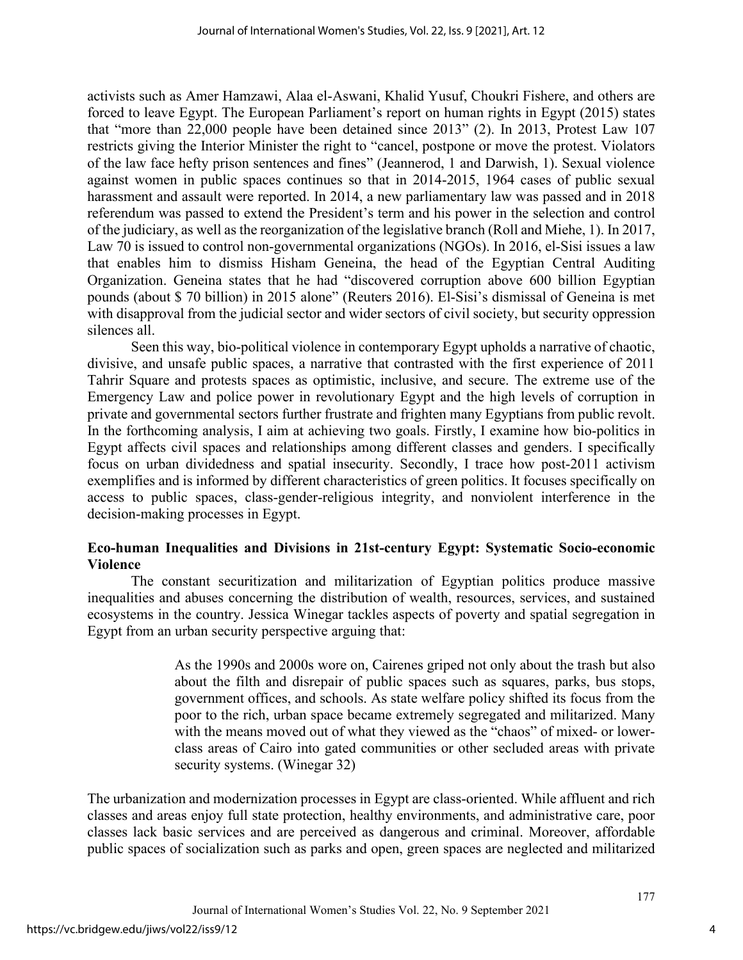activists such as Amer Hamzawi, Alaa el-Aswani, Khalid Yusuf, Choukri Fishere, and others are forced to leave Egypt. The European Parliament's report on human rights in Egypt (2015) states that "more than 22,000 people have been detained since 2013" (2). In 2013, Protest Law 107 restricts giving the Interior Minister the right to "cancel, postpone or move the protest. Violators of the law face hefty prison sentences and fines" (Jeannerod, 1 and Darwish, 1). Sexual violence against women in public spaces continues so that in 2014-2015, 1964 cases of public sexual harassment and assault were reported. In 2014, a new parliamentary law was passed and in 2018 referendum was passed to extend the President's term and his power in the selection and control of the judiciary, as well as the reorganization of the legislative branch (Roll and Miehe, 1). In 2017, Law 70 is issued to control non-governmental organizations (NGOs). In 2016, el-Sisi issues a law that enables him to dismiss Hisham Geneina, the head of the Egyptian Central Auditing Organization. Geneina states that he had "discovered corruption above 600 billion Egyptian pounds (about \$ 70 billion) in 2015 alone" (Reuters 2016). El-Sisi's dismissal of Geneina is met with disapproval from the judicial sector and wider sectors of civil society, but security oppression silences all.

Seen this way, bio-political violence in contemporary Egypt upholds a narrative of chaotic, divisive, and unsafe public spaces, a narrative that contrasted with the first experience of 2011 Tahrir Square and protests spaces as optimistic, inclusive, and secure. The extreme use of the Emergency Law and police power in revolutionary Egypt and the high levels of corruption in private and governmental sectors further frustrate and frighten many Egyptians from public revolt. In the forthcoming analysis, I aim at achieving two goals. Firstly, I examine how bio-politics in Egypt affects civil spaces and relationships among different classes and genders. I specifically focus on urban dividedness and spatial insecurity. Secondly, I trace how post-2011 activism exemplifies and is informed by different characteristics of green politics. It focuses specifically on access to public spaces, class-gender-religious integrity, and nonviolent interference in the decision-making processes in Egypt.

## **Eco-human Inequalities and Divisions in 21st-century Egypt: Systematic Socio-economic Violence**

The constant securitization and militarization of Egyptian politics produce massive inequalities and abuses concerning the distribution of wealth, resources, services, and sustained ecosystems in the country. Jessica Winegar tackles aspects of poverty and spatial segregation in Egypt from an urban security perspective arguing that:

> As the 1990s and 2000s wore on, Cairenes griped not only about the trash but also about the filth and disrepair of public spaces such as squares, parks, bus stops, government offices, and schools. As state welfare policy shifted its focus from the poor to the rich, urban space became extremely segregated and militarized. Many with the means moved out of what they viewed as the "chaos" of mixed- or lowerclass areas of Cairo into gated communities or other secluded areas with private security systems. (Winegar 32)

The urbanization and modernization processes in Egypt are class-oriented. While affluent and rich classes and areas enjoy full state protection, healthy environments, and administrative care, poor classes lack basic services and are perceived as dangerous and criminal. Moreover, affordable public spaces of socialization such as parks and open, green spaces are neglected and militarized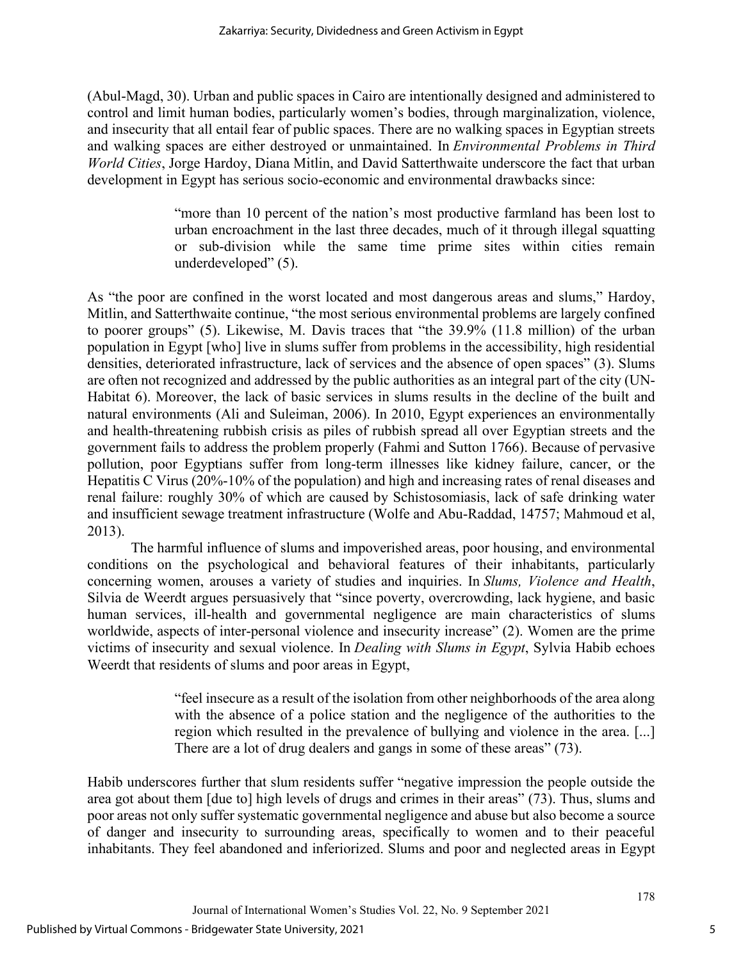(Abul-Magd, 30). Urban and public spaces in Cairo are intentionally designed and administered to control and limit human bodies, particularly women's bodies, through marginalization, violence, and insecurity that all entail fear of public spaces. There are no walking spaces in Egyptian streets and walking spaces are either destroyed or unmaintained. In *Environmental Problems in Third World Cities*, Jorge Hardoy, Diana Mitlin, and David Satterthwaite underscore the fact that urban development in Egypt has serious socio-economic and environmental drawbacks since:

> "more than 10 percent of the nation's most productive farmland has been lost to urban encroachment in the last three decades, much of it through illegal squatting or sub-division while the same time prime sites within cities remain underdeveloped" (5).

As "the poor are confined in the worst located and most dangerous areas and slums," Hardoy, Mitlin, and Satterthwaite continue, "the most serious environmental problems are largely confined to poorer groups" (5). Likewise, M. Davis traces that "the 39.9% (11.8 million) of the urban population in Egypt [who] live in slums suffer from problems in the accessibility, high residential densities, deteriorated infrastructure, lack of services and the absence of open spaces" (3). Slums are often not recognized and addressed by the public authorities as an integral part of the city (UN-Habitat 6). Moreover, the lack of basic services in slums results in the decline of the built and natural environments (Ali and Suleiman, 2006). In 2010, Egypt experiences an environmentally and health-threatening rubbish crisis as piles of rubbish spread all over Egyptian streets and the government fails to address the problem properly (Fahmi and Sutton 1766). Because of pervasive pollution, poor Egyptians suffer from long-term illnesses like kidney failure, cancer, or the Hepatitis C Virus (20%-10% of the population) and high and increasing rates of renal diseases and renal failure: roughly 30% of which are caused by Schistosomiasis, lack of safe drinking water and insufficient sewage treatment infrastructure (Wolfe and Abu-Raddad, 14757; Mahmoud et al, 2013).

The harmful influence of slums and impoverished areas, poor housing, and environmental conditions on the psychological and behavioral features of their inhabitants, particularly concerning women, arouses a variety of studies and inquiries. In *Slums, Violence and Health*, Silvia de Weerdt argues persuasively that "since poverty, overcrowding, lack hygiene, and basic human services, ill-health and governmental negligence are main characteristics of slums worldwide, aspects of inter-personal violence and insecurity increase" (2). Women are the prime victims of insecurity and sexual violence. In *Dealing with Slums in Egypt*, Sylvia Habib echoes Weerdt that residents of slums and poor areas in Egypt,

> "feel insecure as a result of the isolation from other neighborhoods of the area along with the absence of a police station and the negligence of the authorities to the region which resulted in the prevalence of bullying and violence in the area. [...] There are a lot of drug dealers and gangs in some of these areas" (73).

Habib underscores further that slum residents suffer "negative impression the people outside the area got about them [due to] high levels of drugs and crimes in their areas" (73). Thus, slums and poor areas not only suffer systematic governmental negligence and abuse but also become a source of danger and insecurity to surrounding areas, specifically to women and to their peaceful inhabitants. They feel abandoned and inferiorized. Slums and poor and neglected areas in Egypt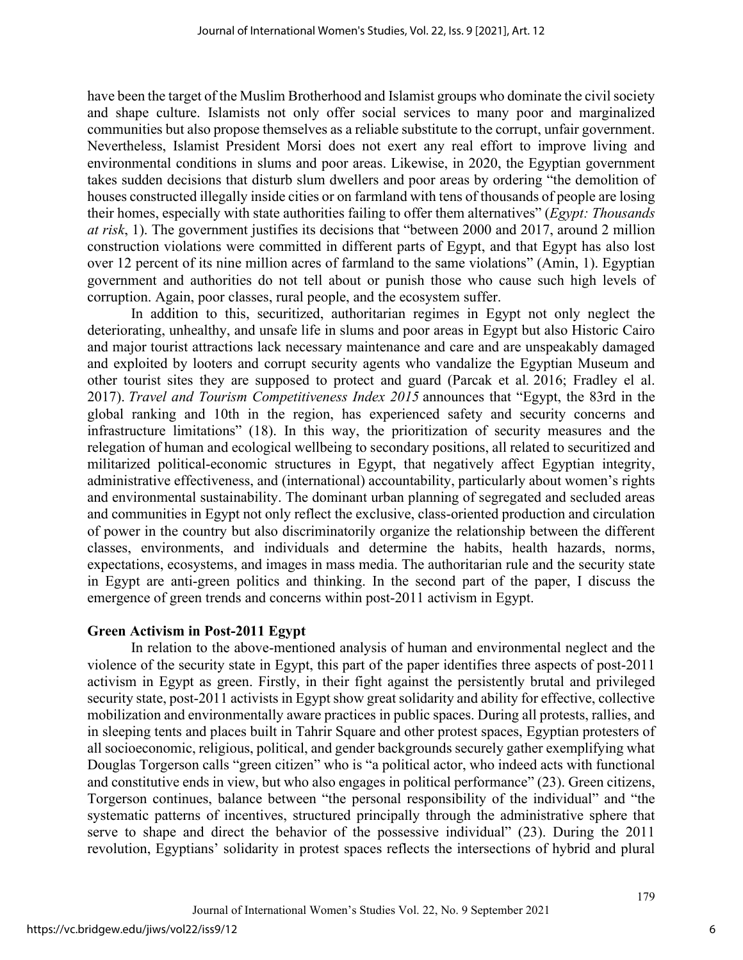have been the target of the Muslim Brotherhood and Islamist groups who dominate the civil society and shape culture. Islamists not only offer social services to many poor and marginalized communities but also propose themselves as a reliable substitute to the corrupt, unfair government. Nevertheless, Islamist President Morsi does not exert any real effort to improve living and environmental conditions in slums and poor areas. Likewise, in 2020, the Egyptian government takes sudden decisions that disturb slum dwellers and poor areas by ordering "the demolition of houses constructed illegally inside cities or on farmland with tens of thousands of people are losing their homes, especially with state authorities failing to offer them alternatives" (*Egypt: Thousands at risk*, 1). The government justifies its decisions that "between 2000 and 2017, around 2 million construction violations were committed in different parts of Egypt, and that Egypt has also lost over 12 percent of its nine million acres of farmland to the same violations" (Amin, 1). Egyptian government and authorities do not tell about or punish those who cause such high levels of corruption. Again, poor classes, rural people, and the ecosystem suffer.

In addition to this, securitized, authoritarian regimes in Egypt not only neglect the deteriorating, unhealthy, and unsafe life in slums and poor areas in Egypt but also Historic Cairo and major tourist attractions lack necessary maintenance and care and are unspeakably damaged and exploited by looters and corrupt security agents who vandalize the Egyptian Museum and other tourist sites they are supposed to protect and guard (Parcak et al*.* 2016; Fradley el al. 2017). *Travel and Tourism Competitiveness Index 2015* announces that "Egypt, the 83rd in the global ranking and 10th in the region, has experienced safety and security concerns and infrastructure limitations" (18). In this way, the prioritization of security measures and the relegation of human and ecological wellbeing to secondary positions, all related to securitized and militarized political-economic structures in Egypt, that negatively affect Egyptian integrity, administrative effectiveness, and (international) accountability, particularly about women's rights and environmental sustainability. The dominant urban planning of segregated and secluded areas and communities in Egypt not only reflect the exclusive, class-oriented production and circulation of power in the country but also discriminatorily organize the relationship between the different classes, environments, and individuals and determine the habits, health hazards, norms, expectations, ecosystems, and images in mass media. The authoritarian rule and the security state in Egypt are anti-green politics and thinking. In the second part of the paper, I discuss the emergence of green trends and concerns within post-2011 activism in Egypt.

## **Green Activism in Post-2011 Egypt**

In relation to the above-mentioned analysis of human and environmental neglect and the violence of the security state in Egypt, this part of the paper identifies three aspects of post-2011 activism in Egypt as green. Firstly, in their fight against the persistently brutal and privileged security state, post-2011 activists in Egypt show great solidarity and ability for effective, collective mobilization and environmentally aware practices in public spaces. During all protests, rallies, and in sleeping tents and places built in Tahrir Square and other protest spaces, Egyptian protesters of all socioeconomic, religious, political, and gender backgrounds securely gather exemplifying what Douglas Torgerson calls "green citizen" who is "a political actor, who indeed acts with functional and constitutive ends in view, but who also engages in political performance" (23). Green citizens, Torgerson continues, balance between "the personal responsibility of the individual" and "the systematic patterns of incentives, structured principally through the administrative sphere that serve to shape and direct the behavior of the possessive individual" (23). During the 2011 revolution, Egyptians' solidarity in protest spaces reflects the intersections of hybrid and plural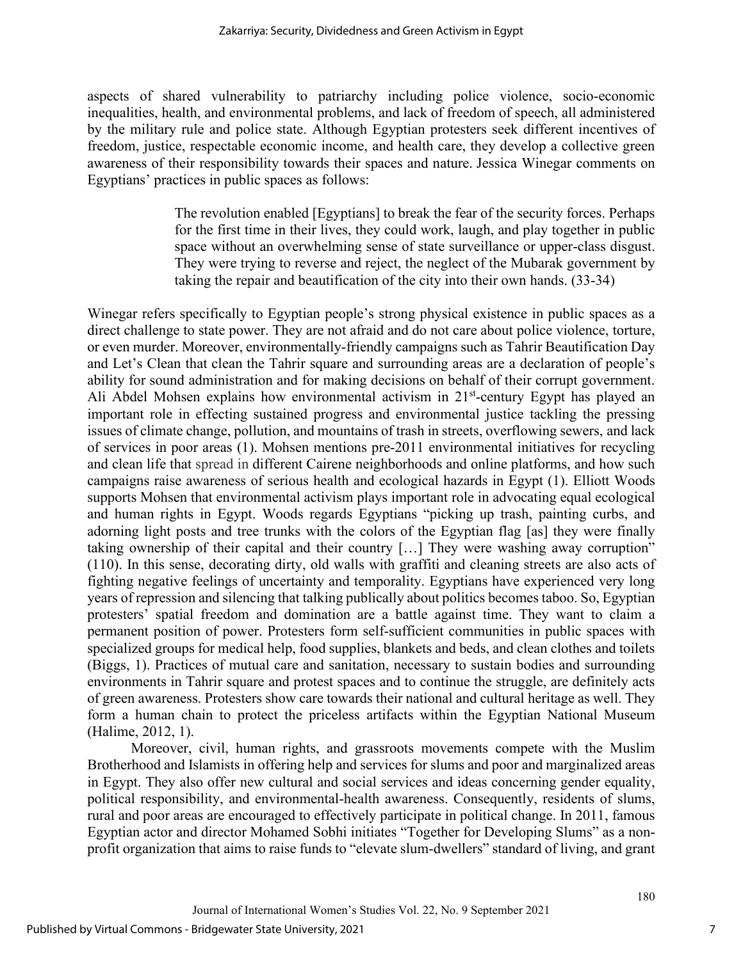aspects of shared vulnerability to patriarchy including police violence, socio-economic inequalities, health, and environmental problems, and lack of freedom of speech, all administered by the military rule and police state. Although Egyptian protesters seek different incentives of freedom, justice, respectable economic income, and health care, they develop a collective green awareness of their responsibility towards their spaces and nature. Jessica Winegar comments on Egyptians' practices in public spaces as follows:

> The revolution enabled [Egyptians] to break the fear of the security forces. Perhaps for the first time in their lives, they could work, laugh, and play together in public space without an overwhelming sense of state surveillance or upper-class disgust. They were trying to reverse and reject, the neglect of the Mubarak government by taking the repair and beautification of the city into their own hands. (33-34)

Winegar refers specifically to Egyptian people's strong physical existence in public spaces as a direct challenge to state power. They are not afraid and do not care about police violence, torture, or even murder. Moreover, environmentally-friendly campaigns such as Tahrir Beautification Day and Let's Clean that clean the Tahrir square and surrounding areas are a declaration of people's ability for sound administration and for making decisions on behalf of their corrupt government. [Ali Abdel Mohsen](https://egyptindependent.com/author/ali-abdel-mohsen/) explains how environmental activism in  $21<sup>st</sup>$ -century Egypt has played an important role in effecting sustained progress and environmental justice tackling the pressing issues of climate change, pollution, and mountains of trash in streets, overflowing sewers, and lack of services in poor areas (1). Mohsen mentions pre-2011 environmental initiatives for recycling and clean life that spread in different Cairene neighborhoods and online platforms, and how such campaigns raise awareness of serious health and ecological hazards in Egypt (1). Elliott Woods supports Mohsen that environmental activism plays important role in advocating equal ecological and human rights in Egypt. Woods regards Egyptians "picking up trash, painting curbs, and adorning light posts and tree trunks with the colors of the Egyptian flag [as] they were finally taking ownership of their capital and their country […] They were washing away corruption" (110). In this sense, decorating dirty, old walls with graffiti and cleaning streets are also acts of fighting negative feelings of uncertainty and temporality. Egyptians have experienced very long years of repression and silencing that talking publically about politics becomes taboo. So, Egyptian protesters' spatial freedom and domination are a battle against time. They want to claim a permanent position of power. Protesters form self-sufficient communities in public spaces with specialized groups for medical help, food supplies, blankets and beds, and clean clothes and toilets (Biggs, 1). Practices of mutual care and sanitation, necessary to sustain bodies and surrounding environments in Tahrir square and protest spaces and to continue the struggle, are definitely acts of green awareness. Protesters show care towards their national and cultural heritage as well. They form a human chain to protect the priceless artifacts within the Egyptian National Museum (Halime, 2012, 1).

Moreover, civil, human rights, and grassroots movements compete with the Muslim Brotherhood and Islamists in offering help and services for slums and poor and marginalized areas in Egypt. They also offer new cultural and social services and ideas concerning gender equality, political responsibility, and environmental-health awareness. Consequently, residents of slums, rural and poor areas are encouraged to effectively participate in political change. In 2011, famous Egyptian actor and director Mohamed Sobhi initiates "Together for Developing Slums" as a nonprofit organization that aims to raise funds to "elevate slum-dwellers" standard of living, and grant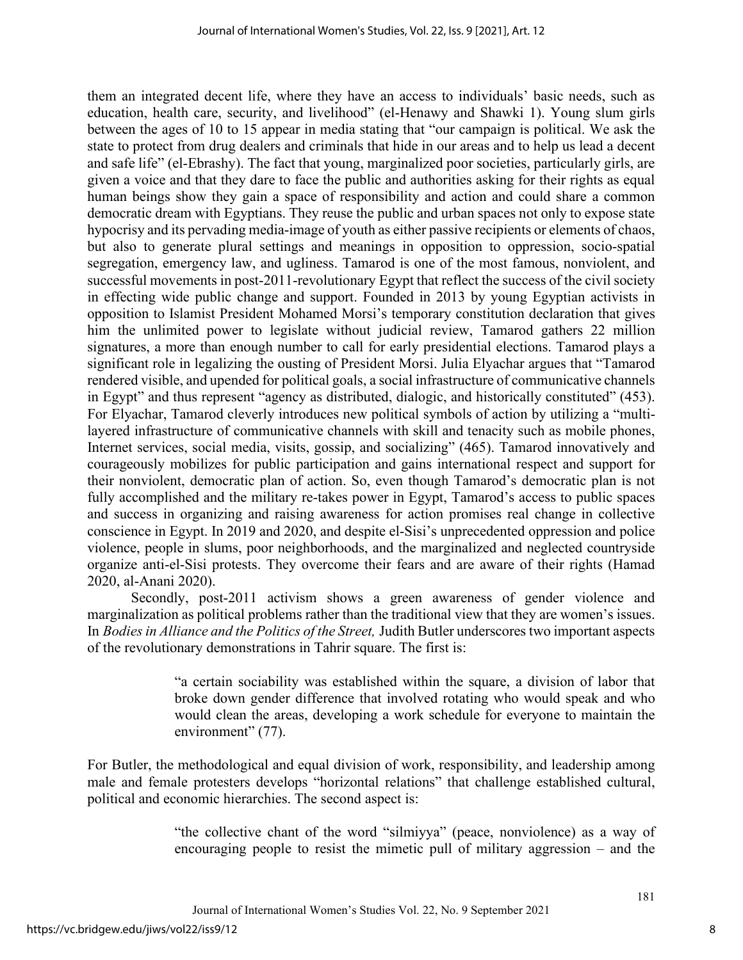them an integrated decent life, where they have an access to individuals' basic needs, such as education, health care, security, and livelihood" (el-Henawy and Shawki 1). Young slum girls between the ages of 10 to 15 appear in media stating that "our campaign is political. We ask the state to protect from drug dealers and criminals that hide in our areas and to help us lead a decent and safe life" (el-Ebrashy). The fact that young, marginalized poor societies, particularly girls, are given a voice and that they dare to face the public and authorities asking for their rights as equal human beings show they gain a space of responsibility and action and could share a common democratic dream with Egyptians. They reuse the public and urban spaces not only to expose state hypocrisy and its pervading media-image of youth as either passive recipients or elements of chaos, but also to generate plural settings and meanings in opposition to oppression, socio-spatial segregation, emergency law, and ugliness. Tamarod is one of the most famous, nonviolent, and successful movements in post-2011-revolutionary Egypt that reflect the success of the civil society in effecting wide public change and support. Founded in 2013 by young Egyptian activists in opposition to Islamist President Mohamed Morsi's temporary constitution declaration that gives him the unlimited power to legislate without judicial review, Tamarod gathers 22 million signatures, a more than enough number to call for early presidential elections. Tamarod plays a significant role in legalizing the ousting of President Morsi. Julia Elyachar argues that "Tamarod rendered visible, and upended for political goals, a social infrastructure of communicative channels in Egypt" and thus represent "agency as distributed, dialogic, and historically constituted" (453). For Elyachar, Tamarod cleverly introduces new political symbols of action by utilizing a "multilayered infrastructure of communicative channels with skill and tenacity such as mobile phones, Internet services, social media, visits, gossip, and socializing" (465). Tamarod innovatively and courageously mobilizes for public participation and gains international respect and support for their nonviolent, democratic plan of action. So, even though Tamarod's democratic plan is not fully accomplished and the military re-takes power in Egypt, Tamarod's access to public spaces and success in organizing and raising awareness for action promises real change in collective conscience in Egypt. In 2019 and 2020, and despite el-Sisi's unprecedented oppression and police violence, people in slums, poor neighborhoods, and the marginalized and neglected countryside organize anti-el-Sisi protests. They overcome their fears and are aware of their rights (Hamad 2020, al-Anani 2020).

Secondly, post-2011 activism shows a green awareness of gender violence and marginalization as political problems rather than the traditional view that they are women's issues. In *Bodies in Alliance and the Politics of the Street,* Judith Butler underscores two important aspects of the revolutionary demonstrations in Tahrir square. The first is:

> "a certain sociability was established within the square, a division of labor that broke down gender difference that involved rotating who would speak and who would clean the areas, developing a work schedule for everyone to maintain the environment" (77).

For Butler, the methodological and equal division of work, responsibility, and leadership among male and female protesters develops "horizontal relations" that challenge established cultural, political and economic hierarchies. The second aspect is:

> "the collective chant of the word "silmiyya" (peace, nonviolence) as a way of encouraging people to resist the mimetic pull of military aggression – and the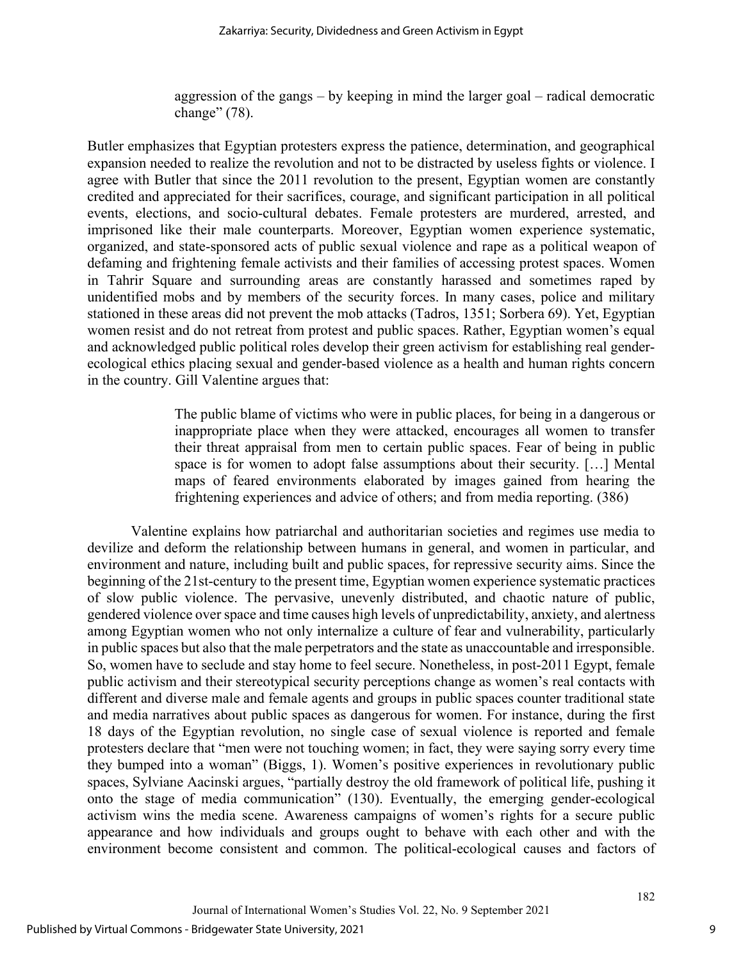aggression of the gangs – by keeping in mind the larger goal – radical democratic change" (78).

Butler emphasizes that Egyptian protesters express the patience, determination, and geographical expansion needed to realize the revolution and not to be distracted by useless fights or violence. I agree with Butler that since the 2011 revolution to the present, Egyptian women are constantly credited and appreciated for their sacrifices, courage, and significant participation in all political events, elections, and socio-cultural debates. Female protesters are murdered, arrested, and imprisoned like their male counterparts. Moreover, Egyptian women experience systematic, organized, and state-sponsored acts of public sexual violence and rape as a political weapon of defaming and frightening female activists and their families of accessing protest spaces. Women in Tahrir Square and surrounding areas are constantly harassed and sometimes raped by unidentified mobs and by members of the security forces. In many cases, police and military stationed in these areas did not prevent the mob attacks (Tadros, 1351; Sorbera 69). Yet, Egyptian women resist and do not retreat from protest and public spaces. Rather, Egyptian women's equal and acknowledged public political roles develop their green activism for establishing real genderecological ethics placing sexual and gender-based violence as a health and human rights concern in the country. Gill Valentine argues that:

> The public blame of victims who were in public places, for being in a dangerous or inappropriate place when they were attacked, encourages all women to transfer their threat appraisal from men to certain public spaces. Fear of being in public space is for women to adopt false assumptions about their security. […] Mental maps of feared environments elaborated by images gained from hearing the frightening experiences and advice of others; and from media reporting. (386)

Valentine explains how patriarchal and authoritarian societies and regimes use media to devilize and deform the relationship between humans in general, and women in particular, and environment and nature, including built and public spaces, for repressive security aims. Since the beginning of the 21st-century to the present time, Egyptian women experience systematic practices of slow public violence. The pervasive, unevenly distributed, and chaotic nature of public, gendered violence over space and time causes high levels of unpredictability, anxiety, and alertness among Egyptian women who not only internalize a culture of fear and vulnerability, particularly in public spaces but also that the male perpetrators and the state as unaccountable and irresponsible. So, women have to seclude and stay home to feel secure. Nonetheless, in post-2011 Egypt, female public activism and their stereotypical security perceptions change as women's real contacts with different and diverse male and female agents and groups in public spaces counter traditional state and media narratives about public spaces as dangerous for women. For instance, during the first 18 days of the Egyptian revolution, no single case of sexual violence is reported and female protesters declare that "men were not touching women; in fact, they were saying sorry every time they bumped into a woman" (Biggs, 1). Women's positive experiences in revolutionary public spaces, Sylviane Aacinski argues, "partially destroy the old framework of political life, pushing it onto the stage of media communication" (130). Eventually, the emerging gender-ecological activism wins the media scene. Awareness campaigns of women's rights for a secure public appearance and how individuals and groups ought to behave with each other and with the environment become consistent and common. The political-ecological causes and factors of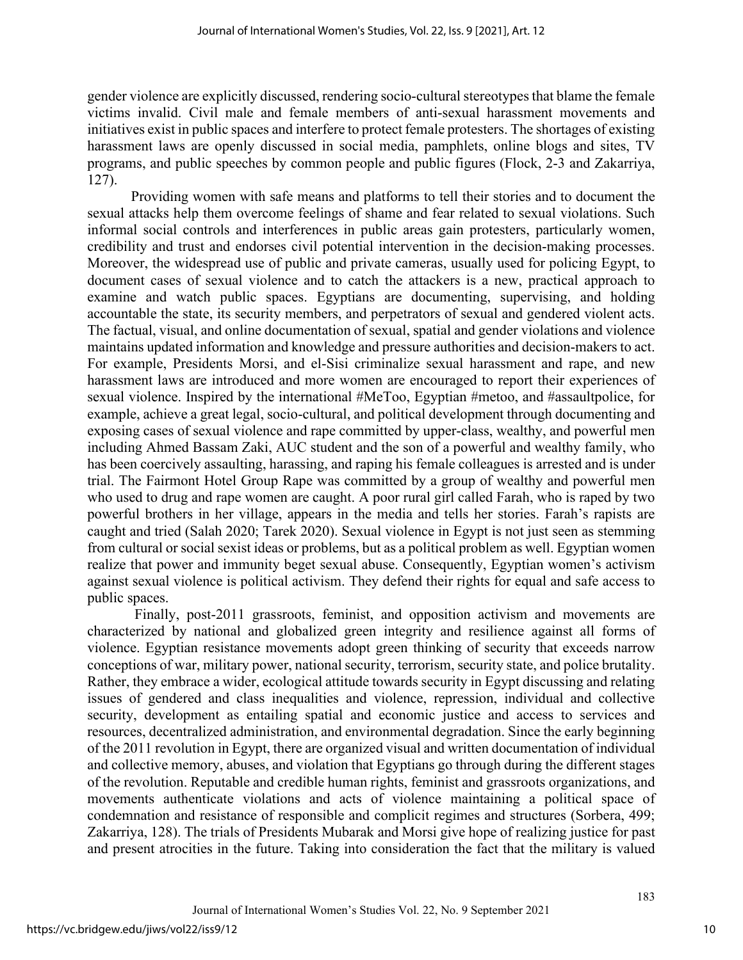gender violence are explicitly discussed, rendering socio-cultural stereotypes that blame the female victims invalid. Civil male and female members of anti-sexual harassment movements and initiatives exist in public spaces and interfere to protect female protesters. The shortages of existing harassment laws are openly discussed in social media, pamphlets, online blogs and sites, TV programs, and public speeches by common people and public figures (Flock, 2-3 and Zakarriya, 127).

Providing women with safe means and platforms to tell their stories and to document the sexual attacks help them overcome feelings of shame and fear related to sexual violations. Such informal social controls and interferences in public areas gain protesters, particularly women, credibility and trust and endorses civil potential intervention in the decision-making processes. Moreover, the widespread use of public and private cameras, usually used for policing Egypt, to document cases of sexual violence and to catch the attackers is a new, practical approach to examine and watch public spaces. Egyptians are documenting, supervising, and holding accountable the state, its security members, and perpetrators of sexual and gendered violent acts. The factual, visual, and online documentation of sexual, spatial and gender violations and violence maintains updated information and knowledge and pressure authorities and decision-makers to act. For example, Presidents Morsi, and el-Sisi criminalize sexual harassment and rape, and new harassment laws are introduced and more women are encouraged to report their experiences of sexual violence. Inspired by the international #MeToo, Egyptian #metoo, and #assaultpolice, for example, achieve a great legal, socio-cultural, and political development through documenting and exposing cases of sexual violence and rape committed by upper-class, wealthy, and powerful men including Ahmed Bassam Zaki, AUC student and the son of a powerful and wealthy family, who has been coercively assaulting, harassing, and raping his female colleagues is arrested and is under trial. The Fairmont Hotel Group Rape was committed by a group of wealthy and powerful men who used to drug and rape women are caught. A poor rural girl called Farah, who is raped by two powerful brothers in her village, appears in the media and tells her stories. Farah's rapists are caught and tried (Salah 2020; Tarek 2020). Sexual violence in Egypt is not just seen as stemming from cultural or social sexist ideas or problems, but as a political problem as well. Egyptian women realize that power and immunity beget sexual abuse. Consequently, Egyptian women's activism against sexual violence is political activism. They defend their rights for equal and safe access to public spaces.

Finally, post-2011 grassroots, feminist, and opposition activism and movements are characterized by national and globalized green integrity and resilience against all forms of violence. Egyptian resistance movements adopt green thinking of security that exceeds narrow conceptions of war, military power, national security, terrorism, security state, and police brutality. Rather, they embrace a wider, ecological attitude towards security in Egypt discussing and relating issues of gendered and class inequalities and violence, repression, individual and collective security, development as entailing spatial and economic justice and access to services and resources, decentralized administration, and environmental degradation. Since the early beginning of the 2011 revolution in Egypt, there are organized visual and written documentation of individual and collective memory, abuses, and violation that Egyptians go through during the different stages of the revolution. Reputable and credible human rights, feminist and grassroots organizations, and movements authenticate violations and acts of violence maintaining a political space of condemnation and resistance of responsible and complicit regimes and structures (Sorbera, 499; Zakarriya, 128). The trials of Presidents Mubarak and Morsi give hope of realizing justice for past and present atrocities in the future. Taking into consideration the fact that the military is valued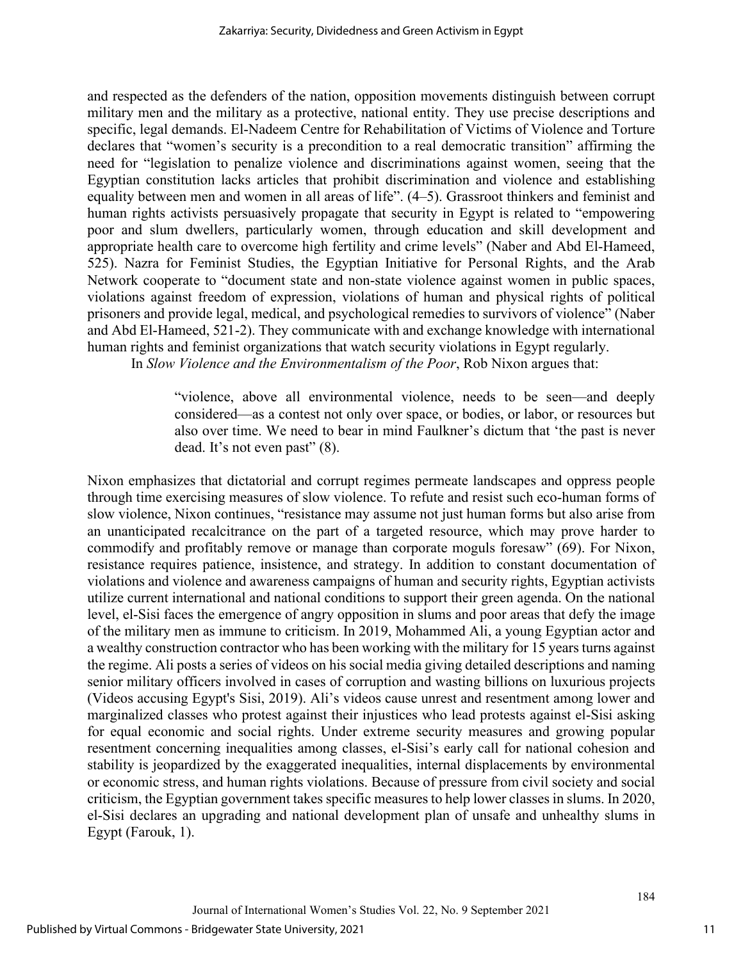and respected as the defenders of the nation, opposition movements distinguish between corrupt military men and the military as a protective, national entity. They use precise descriptions and specific, legal demands. El-Nadeem Centre for Rehabilitation of Victims of Violence and Torture declares that "women's security is a precondition to a real democratic transition" affirming the need for "legislation to penalize violence and discriminations against women, seeing that the Egyptian constitution lacks articles that prohibit discrimination and violence and establishing equality between men and women in all areas of life". (4–5). Grassroot thinkers and feminist and human rights activists persuasively propagate that security in Egypt is related to "empowering poor and slum dwellers, particularly women, through education and skill development and appropriate health care to overcome high fertility and crime levels" (Naber and Abd El-Hameed, 525). Nazra for Feminist Studies, the Egyptian Initiative for Personal Rights, and the Arab Network cooperate to "document state and non-state violence against women in public spaces, violations against freedom of expression, violations of human and physical rights of political prisoners and provide legal, medical, and psychological remedies to survivors of violence" (Naber and Abd El-Hameed, 521-2). They communicate with and exchange knowledge with international human rights and feminist organizations that watch security violations in Egypt regularly.

In *Slow Violence and the Environmentalism of the Poor*, Rob Nixon argues that:

"violence, above all environmental violence, needs to be seen—and deeply considered—as a contest not only over space, or bodies, or labor, or resources but also over time. We need to bear in mind Faulkner's dictum that 'the past is never dead. It's not even past" (8).

Nixon emphasizes that dictatorial and corrupt regimes permeate landscapes and oppress people through time exercising measures of slow violence. To refute and resist such eco-human forms of slow violence, Nixon continues, "resistance may assume not just human forms but also arise from an unanticipated recalcitrance on the part of a targeted resource, which may prove harder to commodify and profitably remove or manage than corporate moguls foresaw" (69). For Nixon, resistance requires patience, insistence, and strategy. In addition to constant documentation of violations and violence and awareness campaigns of human and security rights, Egyptian activists utilize current international and national conditions to support their green agenda. On the national level, el-Sisi faces the emergence of angry opposition in slums and poor areas that defy the image of the military men as immune to criticism. In 2019, Mohammed Ali, a young Egyptian actor and a wealthy construction contractor who has been working with the military for 15 years turns against the regime. Ali posts a series of videos on his social media giving detailed descriptions and naming senior military officers involved in cases of corruption and wasting billions on luxurious projects (Videos accusing Egypt's Sisi, 2019). Ali's videos cause unrest and resentment among lower and marginalized classes who protest against their injustices who lead protests against el-Sisi asking for equal economic and social rights. Under extreme security measures and growing popular resentment concerning inequalities among classes, el-Sisi's early call for national cohesion and stability is jeopardized by the exaggerated inequalities, internal displacements by environmental or economic stress, and human rights violations. Because of pressure from civil society and social criticism, the Egyptian government takes specific measures to help lower classes in slums. In 2020, el-Sisi declares an upgrading and national development plan of unsafe and unhealthy slums in Egypt (Farouk, 1).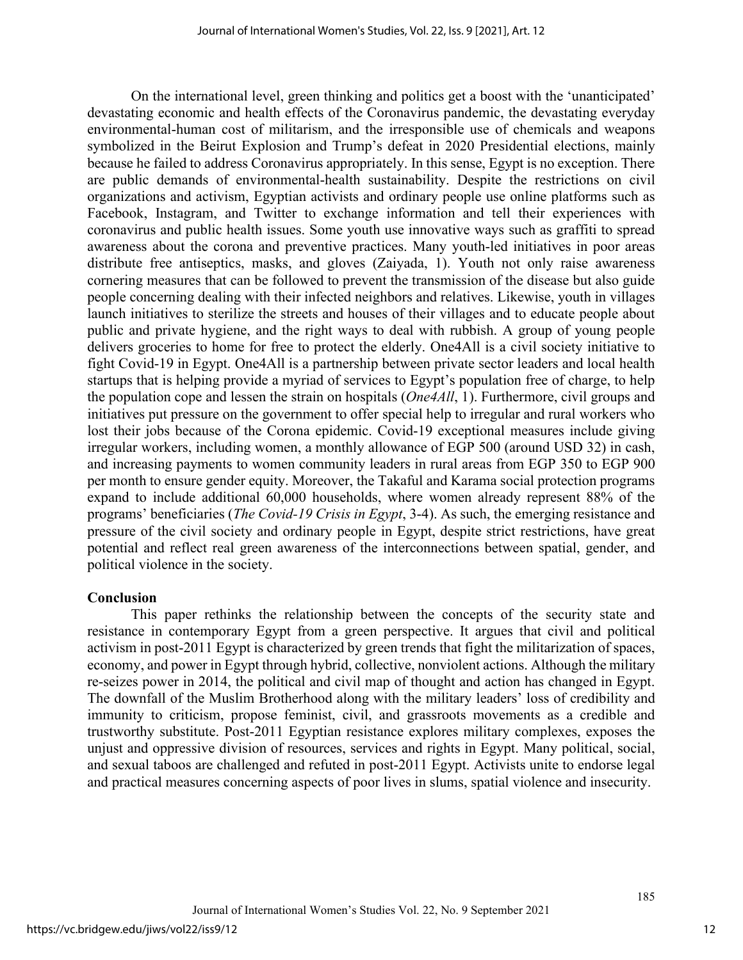On the international level, green thinking and politics get a boost with the 'unanticipated' devastating economic and health effects of the Coronavirus pandemic, the devastating everyday environmental-human cost of militarism, and the irresponsible use of chemicals and weapons symbolized in the Beirut Explosion and Trump's defeat in 2020 Presidential elections, mainly because he failed to address Coronavirus appropriately. In this sense, Egypt is no exception. There are public demands of environmental-health sustainability. Despite the restrictions on civil organizations and activism, Egyptian activists and ordinary people use online platforms such as Facebook, Instagram, and Twitter to exchange information and tell their experiences with coronavirus and public health issues. Some youth use innovative ways such as graffiti to spread awareness about the corona and preventive practices. Many youth-led initiatives in poor areas distribute free antiseptics, masks, and gloves (Zaiyada, 1). Youth not only raise awareness cornering measures that can be followed to prevent the transmission of the disease but also guide people concerning dealing with their infected neighbors and relatives. Likewise, youth in villages launch initiatives to sterilize the streets and houses of their villages and to educate people about public and private hygiene, and the right ways to deal with rubbish. A group of young people delivers groceries to home for free to protect the elderly. One4All is a civil society initiative to fight Covid-19 in Egypt. One4All is a partnership between private sector leaders and local health startups that is helping provide a myriad of services to Egypt's population free of charge, to help the population cope and lessen the strain on hospitals (*One4All*, 1). Furthermore, civil groups and initiatives put pressure on the government to offer special help to irregular and rural workers who lost their jobs because of the Corona epidemic. Covid-19 exceptional measures include giving irregular workers, including women, a monthly allowance of EGP 500 (around USD 32) in cash, and increasing payments to women community leaders in rural areas from EGP 350 to EGP 900 per month to ensure gender equity. Moreover, the Takaful and Karama social protection programs expand to include additional 60,000 households, where women already represent 88% of the programs' beneficiaries (*The Covid-19 Crisis in Egypt*, 3-4). As such, the emerging resistance and pressure of the civil society and ordinary people in Egypt, despite strict restrictions, have great potential and reflect real green awareness of the interconnections between spatial, gender, and political violence in the society.

## **Conclusion**

This paper rethinks the relationship between the concepts of the security state and resistance in contemporary Egypt from a green perspective. It argues that civil and political activism in post-2011 Egypt is characterized by green trends that fight the militarization of spaces, economy, and power in Egypt through hybrid, collective, nonviolent actions. Although the military re-seizes power in 2014, the political and civil map of thought and action has changed in Egypt. The downfall of the Muslim Brotherhood along with the military leaders' loss of credibility and immunity to criticism, propose feminist, civil, and grassroots movements as a credible and trustworthy substitute. Post-2011 Egyptian resistance explores military complexes, exposes the unjust and oppressive division of resources, services and rights in Egypt. Many political, social, and sexual taboos are challenged and refuted in post-2011 Egypt. Activists unite to endorse legal and practical measures concerning aspects of poor lives in slums, spatial violence and insecurity.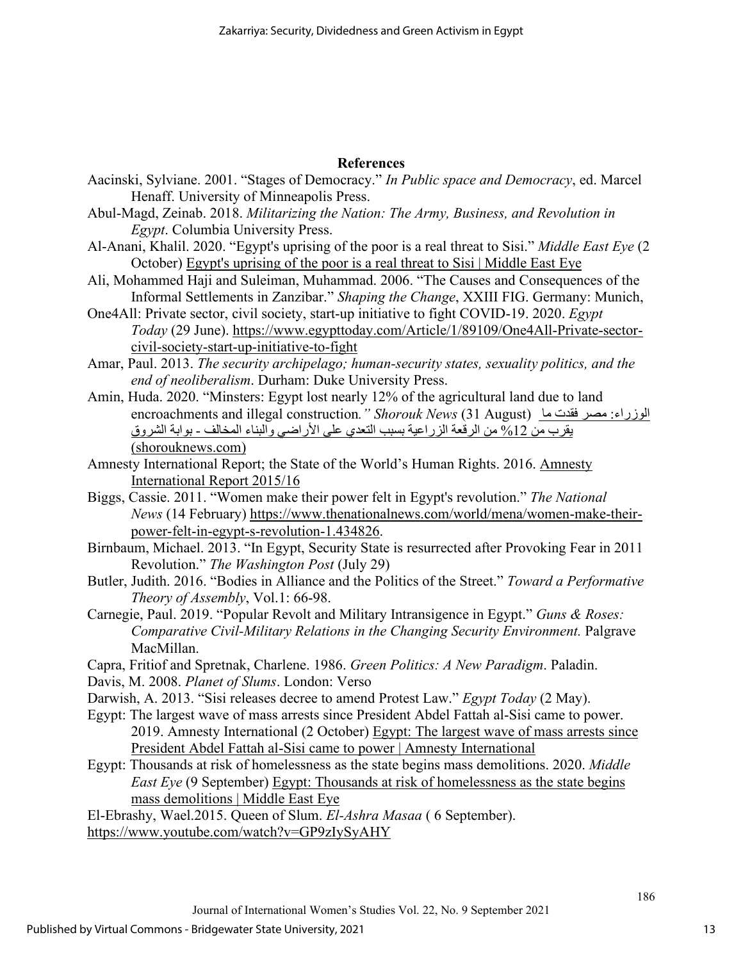## **References**

- Aacinski, Sylviane. 2001. "Stages of Democracy." *In Public space and Democracy*, ed. Marcel Henaff. University of Minneapolis Press.
- Abul-Magd, Zeinab. 2018. *Militarizing the Nation: The Army, Business, and Revolution in Egypt*. Columbia University Press.
- Al-Anani, Khalil. 2020. "Egypt's uprising of the poor is a real threat to Sisi." *Middle East Eye* (2 October) [Egypt's uprising of the poor is a real threat to Sisi | Middle East Eye](https://www.middleeasteye.net/opinion/egypts-uprising-poor-will-sisi-finally-be-toppled)
- Ali, Mohammed Haji and Suleiman, Muhammad. 2006. "The Causes and Consequences of the Informal Settlements in Zanzibar." *Shaping the Change*, XXIII FIG. Germany: Munich,
- One4All: Private sector, civil society, start-up initiative to fight COVID-19. 2020. *Egypt Today* (29 June). [https://www.egypttoday.com/Article/1/89109/One4All-Private-sector](https://www.egypttoday.com/Article/1/89109/One4All-Private-sector-civil-society-start-up-initiative-to-fight)[civil-society-start-up-initiative-to-fight](https://www.egypttoday.com/Article/1/89109/One4All-Private-sector-civil-society-start-up-initiative-to-fight)
- Amar, Paul. 2013. *The security archipelago; human-security states, sexuality politics, and the end of neoliberalism*. Durham: Duke University Press.
- Amin, Huda. 2020. "Minsters: Egypt lost nearly 12% of the agricultural land due to land encroachments and illegal construction." Shorouk News (31 August) الوزراء: مصر فقدت ما یقرب من %12 [من الرقعة الزراعیة بسبب التعدي على الأراضي والبناء المخالف](https://www.shorouknews.com/news/view.aspx?cdate=31082020&id=1171d696-e738-454b-bf0a-1ff721125edf) - بوابة الشروق [\(shorouknews.com\)](https://www.shorouknews.com/news/view.aspx?cdate=31082020&id=1171d696-e738-454b-bf0a-1ff721125edf)
- Amnesty International Report; the State of the World's Human Rights. 2016. [Amnesty](https://www.amnesty.org/download/Documents/POL1025522016ENGLISH.PDF)  [International Report 2015/16](https://www.amnesty.org/download/Documents/POL1025522016ENGLISH.PDF)
- Biggs, Cassie. 2011. "Women make their power felt in Egypt's revolution." *The National News* (14 February) [https://www.thenationalnews.com/world/mena/women-make-their](https://www.thenationalnews.com/world/mena/women-make-their-power-felt-in-egypt-s-revolution-1.434826)[power-felt-in-egypt-s-revolution-1.434826.](https://www.thenationalnews.com/world/mena/women-make-their-power-felt-in-egypt-s-revolution-1.434826)
- Birnbaum, [Michael. 2013. "](https://www.washingtonpost.com/people/michael-birnbaum/)In Egypt, Security State is resurrected after Provoking Fear in 2011 Revolution." *The Washington Post* (July 29)
- Butler, Judith. 2016. "Bodies in Alliance and the Politics of the Street." *Toward a Performative Theory of Assembly*, Vol.1: 66-98.
- Carnegie, Paul. 2019. "Popular Revolt and Military Intransigence in Egypt." *Guns & Roses: Comparative Civil-Military Relations in the Changing Security Environment.* Palgrave MacMillan.
- Capra, Fritiof and Spretnak, Charlene. 1986. *Green Politics: A New Paradigm*. Paladin.
- Davis, M. 2008. *Planet of Slums*. London: Verso
- Darwish, A. 2013. "Sisi releases decree to amend Protest Law." *Egypt Today* (2 May).
- Egypt: The largest wave of mass arrests since President Abdel Fattah al-Sisi came to power. 2019. Amnesty International (2 October) [Egypt: The largest wave of mass arrests since](https://www.amnesty.org/en/latest/news/2019/10/egypt-largest-wave-of-mass-arrests-since-president-abdel-fattah-al-sisi-came-to-power/)  [President Abdel Fattah al-Sisi came to power | Amnesty International](https://www.amnesty.org/en/latest/news/2019/10/egypt-largest-wave-of-mass-arrests-since-president-abdel-fattah-al-sisi-came-to-power/)
- Egypt: Thousands at risk of homelessness as the state begins mass demolitions. 2020. *Middle East Eye* (9 September) [Egypt: Thousands at risk of homelessness as the state begins](https://www.middleeasteye.net/news/egypt-state-house-demolitions-anger-homelessness)  [mass demolitions | Middle East Eye](https://www.middleeasteye.net/news/egypt-state-house-demolitions-anger-homelessness)

El-Ebrashy, Wael.2015. Queen of Slum. *El-Ashra Masaa* ( 6 September). <https://www.youtube.com/watch?v=GP9zIySyAHY>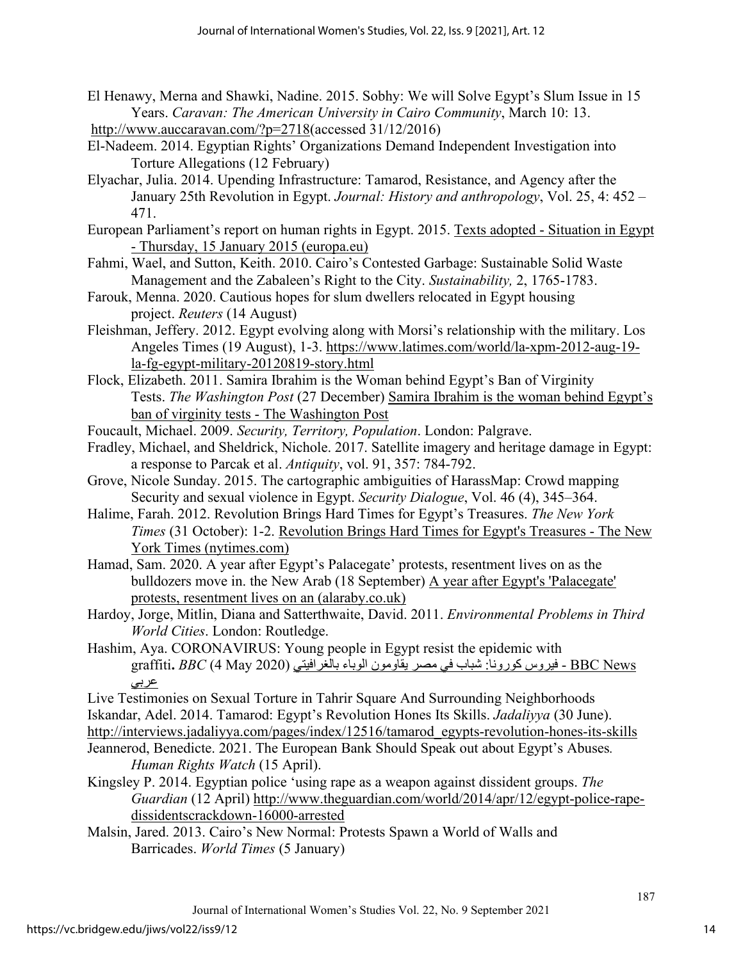- El Henawy, Merna and Shawki, Nadine. 2015. Sobhy: We will Solve Egypt's Slum Issue in 15 Years. *Caravan: The American University in Cairo Community*, March 10: 13. [http://www.auccaravan.com/?p=2718\(](http://www.auccaravan.com/?p=2718)accessed 31/12/2016)
- El-Nadeem. 2014. Egyptian Rights' Organizations Demand Independent Investigation into Torture Allegations (12 February)
- Elyachar, Julia. 2014. Upending Infrastructure: Tamarod, Resistance, and Agency after the January 25th Revolution in Egypt. *Journal: History and anthropology*, Vol. 25, 4: 452 – 471.
- European Parliament's report on human rights in Egypt. 2015. [Texts adopted Situation in Egypt](https://www.europarl.europa.eu/doceo/document/TA-8-2015-0012_EN.html)  [- Thursday, 15 January 2015 \(europa.eu\)](https://www.europarl.europa.eu/doceo/document/TA-8-2015-0012_EN.html)
- Fahmi, Wael, and Sutton, Keith. 2010. Cairo's Contested Garbage: Sustainable Solid Waste Management and the Zabaleen's Right to the City. *Sustainability,* 2, 1765-1783.
- Farouk, Menna. 2020. Cautious hopes for slum dwellers relocated in Egypt housing project. *Reuters* (14 August)
- Fleishman, Jeffery. 2012. Egypt evolving along with Morsi's relationship with the military. Los Angeles Times (19 August), 1-3. [https://www.latimes.com/world/la-xpm-2012-aug-19](https://www.latimes.com/world/la-xpm-2012-aug-19-la-fg-egypt-military-20120819-story.html) [la-fg-egypt-military-20120819-story.html](https://www.latimes.com/world/la-xpm-2012-aug-19-la-fg-egypt-military-20120819-story.html)
- Flock, Elizabeth. 2011. Samira Ibrahim is the Woman behind Egypt's Ban of Virginity Tests. *The Washington Post* (27 December) [Samira Ibrahim is the woman behind Egypt's](https://www.washingtonpost.com/blogs/blogpost/post/samira-ibrahim-is-the-woman-behind-egypts-ban-of-virginity-tests/2011/12/27/gIQACKNgKP_blog.html)  [ban of virginity tests - The Washington Post](https://www.washingtonpost.com/blogs/blogpost/post/samira-ibrahim-is-the-woman-behind-egypts-ban-of-virginity-tests/2011/12/27/gIQACKNgKP_blog.html)
- Foucault, Michael. 2009. *Security, Territory, Population*. London: Palgrave.
- Fradley, Michael, and [Sheldrick, Nichole.](https://www-proquest-com.ez.statsbiblioteket.dk:12048/indexinglinkhandler/sng/au/Sheldrick,+Nichole/$N?accountid=14468) 2017. Satellite imagery and heritage damage in Egypt: a response to Parcak et al. *[Antiquity](https://www-proquest-com.ez.statsbiblioteket.dk:12048/pubidlinkhandler/sng/pubtitle/Antiquity/$N/36387/DocView/1977215306/fulltext/37C39481B3D44128PQ/1?accountid=14468)*, vol. 91, 357: 784-792.
- Grove, Nicole Sunday. 2015. The cartographic ambiguities of HarassMap: Crowd mapping Security and sexual violence in Egypt. *Security Dialogue*, Vol. 46 (4), 345–364.
- Halime, Farah. 2012. Revolution Brings Hard Times for Egypt's Treasures. *The New York Times* (31 October): 1-2. [Revolution Brings Hard Times for Egypt's Treasures - The New](https://www.nytimes.com/2012/11/01/world/middleeast/revolution-brings-hard-times-for-egypts-treasures.html)  [York Times \(nytimes.com\)](https://www.nytimes.com/2012/11/01/world/middleeast/revolution-brings-hard-times-for-egypts-treasures.html)
- Hamad, Sam. 2020. A year after Egypt's Palacegate' protests, resentment lives on as the bulldozers move in. the New Arab (18 September) [A year after Egypt's 'Palacegate'](https://english.alaraby.co.uk/english/comment/2020/9/18/sisi-bulldozes-homes-with-renewed-disdain-for-egypts-poor)  [protests, resentment lives on an \(alaraby.co.uk\)](https://english.alaraby.co.uk/english/comment/2020/9/18/sisi-bulldozes-homes-with-renewed-disdain-for-egypts-poor)
- Hardoy, Jorge, Mitlin, Diana and Satterthwaite, David. 2011. *Environmental Problems in Third World Cities*. London: Routledge.
- Hashim, Aya. CORONAVIRUS: Young people in Egypt resist the epidemic with News BBC - فیروس كورونا: شباب في مصر یقاومون الوباء بالغرافیتي (2020 May 4 (*BBC* **.**graffiti عربي

Live Testimonies on Sexual Torture in Tahrir Square And Surrounding Neighborhoods

Iskandar, Adel. 2014. Tamarod: Egypt's Revolution Hones Its Skills. *Jadaliyya* (30 June).

[http://interviews.jadaliyya.com/pages/index/12516/tamarod\\_egypts-revolution-hones-its-skills](http://interviews.jadaliyya.com/pages/index/12516/tamarod_egypts-revolution-hones-its-skills) 

- Jeannerod, Benedicte. 2021. The European Bank Should Speak out about Egypt's Abuses*. Human Rights Watch* (15 April).
- Kingsley P. 2014. Egyptian police 'using rape as a weapon against dissident groups. *The Guardian* (12 April) [http://www.theguardian.com/world/2014/apr/12/egypt-police-rape](http://www.theguardian.com/world/2014/apr/12/egypt-police-rape-dissidentscrackdown-16000-arrested)[dissidentscrackdown-16000-arrested](http://www.theguardian.com/world/2014/apr/12/egypt-police-rape-dissidentscrackdown-16000-arrested)
- Malsin, Jared. 2013. Cairo's New Normal: Protests Spawn a World of Walls and Barricades. *World Times* (5 January)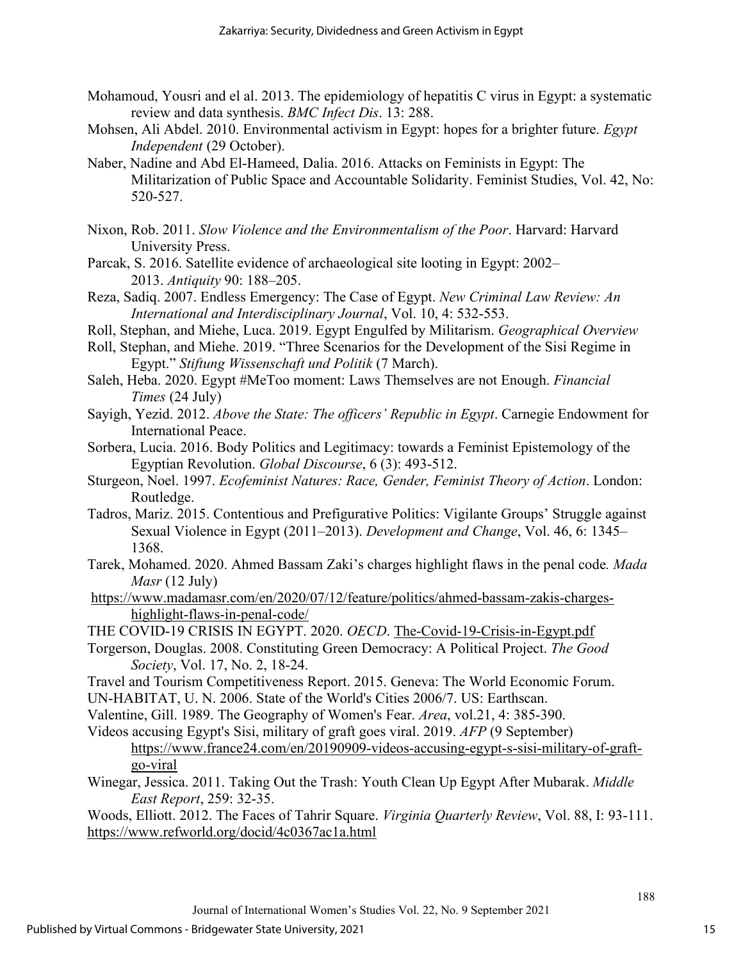- Mohamoud, Yousri and el al. 2013. The epidemiology of hepatitis C virus in Egypt: a systematic review and data synthesis. *[BMC Infect Dis](https://www.ncbi.nlm.nih.gov/pmc/articles/PMC3702438/)*. 13: 288.
- Mohsen, Ali Abdel. 2010. Environmental activism in Egypt: hopes for a brighter future. *Egypt Independent* (29 October).
- Naber, Nadine and Abd El-Hameed, Dalia. 2016. Attacks on Feminists in Egypt: The Militarization of Public Space and Accountable Solidarity. Feminist Studies, Vol. 42, No: 520-527.
- Nixon, Rob. 2011. *Slow Violence and the Environmentalism of the Poor*. Harvard: Harvard University Press.
- Parcak, S. 2016. Satellite evidence of archaeological site looting in Egypt: 2002– 2013. *Antiquity* 90: 188–205.
- Reza, Sadiq. 2007. Endless Emergency: The Case of Egypt. *New Criminal Law Review: An International and Interdisciplinary Journal*, Vol. 10, 4: 532-553.
- Roll, Stephan, and Miehe, Luca. 2019. Egypt Engulfed by Militarism. *Geographical Overview*
- Roll, Stephan, and Miehe. 2019. "Three Scenarios for the Development of the Sisi Regime in Egypt." *Stiftung Wissenschaft und Politik* (7 March).
- Saleh, Heba. 2020. Egypt #MeToo moment: Laws Themselves are not Enough. *Financial Times* (24 July)
- Sayigh, Yezid. 2012. *Above the State: The officers' Republic in Egypt*. Carnegie Endowment for International Peace.
- Sorbera, Lucia. 2016. Body Politics and Legitimacy: towards a Feminist Epistemology of the Egyptian Revolution. *Global Discourse*, 6 (3): 493-512.
- Sturgeon, Noel. 1997. *Ecofeminist Natures: Race, Gender, Feminist Theory of Action*. London: Routledge.
- Tadros, Mariz. 2015. Contentious and Prefigurative Politics: Vigilante Groups' Struggle against Sexual Violence in Egypt (2011–2013). *Development and Change*, Vol. 46, 6: 1345– 1368.
- Tarek, Mohamed. 2020. Ahmed Bassam Zaki's charges highlight flaws in the penal code*. Mada Masr* (12 July)
- [https://www.madamasr.com/en/2020/07/12/feature/politics/ahmed-bassam-zakis-charges](https://www.madamasr.com/en/2020/07/12/feature/politics/ahmed-bassam-zakis-charges-highlight-flaws-in-penal-code/)[highlight-flaws-in-penal-code/](https://www.madamasr.com/en/2020/07/12/feature/politics/ahmed-bassam-zakis-charges-highlight-flaws-in-penal-code/)
- THE COVID-19 CRISIS IN EGYPT. 2020. *OECD*. The-Covid-19-Crisis-in-Egypt.pdf
- Torgerson, Douglas. 2008. Constituting Green Democracy: A Political Project. *The Good Society*, Vol. 17, No. 2, 18-24.
- Travel and Tourism Competitiveness Report. 2015. Geneva: The World Economic Forum.
- UN-HABITAT, U. N. 2006. State of the World's Cities 2006/7. US: Earthscan.
- Valentine, Gill. 1989. The Geography of Women's Fear. *Area*, vol.21, 4: 385-390.
- Videos accusing Egypt's Sisi, military of graft goes viral. 2019. *AFP* (9 September) [https://www.france24.com/en/20190909-videos-accusing-egypt-s-sisi-military-of-graft](https://www.france24.com/en/20190909-videos-accusing-egypt-s-sisi-military-of-graft-go-viral)[go-viral](https://www.france24.com/en/20190909-videos-accusing-egypt-s-sisi-military-of-graft-go-viral)
- Winegar, Jessica. 2011. Taking Out the Trash: Youth Clean Up Egypt After Mubarak. *Middle East Report*, 259: 32-35.

Woods, Elliott. 2012. The Faces of Tahrir Square. *Virginia Quarterly Review*, Vol. 88, I: 93-111. <https://www.refworld.org/docid/4c0367ac1a.html>